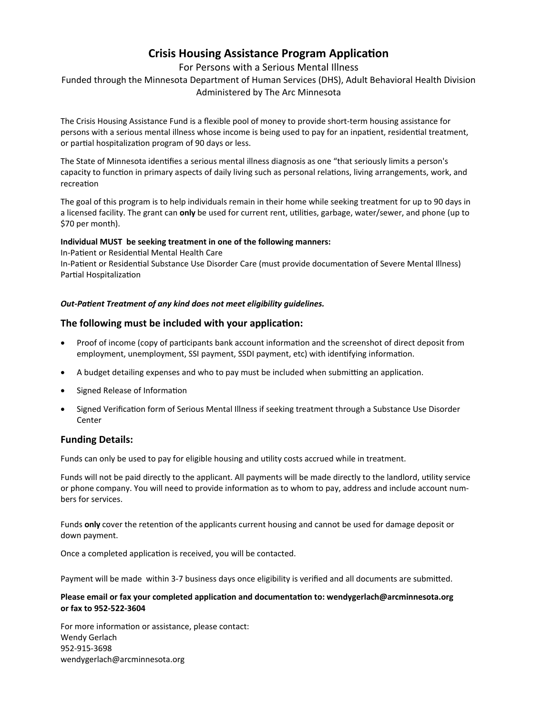## **Crisis Housing Assistance Program Application**

## For Persons with a Serious Mental Illness

Funded through the Minnesota Department of Human Services (DHS), Adult Behavioral Health Division Administered by The Arc Minnesota

The Crisis Housing Assistance Fund is a flexible pool of money to provide short-term housing assistance for persons with a serious mental illness whose income is being used to pay for an inpatient, residential treatment, or partial hospitalization program of 90 days or less.

The State of Minnesota identifies a serious mental illness diagnosis as one "that seriously limits a person's capacity to function in primary aspects of daily living such as personal relations, living arrangements, work, and recreation

The goal of this program is to help individuals remain in their home while seeking treatment for up to 90 days in a licensed facility. The grant can **only** be used for current rent, utilities, garbage, water/sewer, and phone (up to \$70 per month).

#### **Individual MUST be seeking treatment in one of the following manners:**

In-Patient or Residential Mental Health Care In-Patient or Residential Substance Use Disorder Care (must provide documentation of Severe Mental Illness) Partial Hospitalization

## *Out-Patient Treatment of any kind does not meet eligibility guidelines.*

## **The following must be included with your application:**

- Proof of income (copy of participants bank account information and the screenshot of direct deposit from employment, unemployment, SSI payment, SSDI payment, etc) with identifying information.
- A budget detailing expenses and who to pay must be included when submitting an application.
- Signed Release of Information
- Signed Verification form of Serious Mental Illness if seeking treatment through a Substance Use Disorder **Center**

## **Funding Details:**

Funds can only be used to pay for eligible housing and utility costs accrued while in treatment.

Funds will not be paid directly to the applicant. All payments will be made directly to the landlord, utility service or phone company. You will need to provide information as to whom to pay, address and include account numbers for services.

Funds **only** cover the retention of the applicants current housing and cannot be used for damage deposit or down payment.

Once a completed application is received, you will be contacted.

Payment will be made within 3-7 business days once eligibility is verified and all documents are submitted.

#### **Please email or fax your completed application and documentation to: wendygerlach@arcminnesota.org or fax to 952-522-3604**

For more information or assistance, please contact: Wendy Gerlach 952-915-3698 wendygerlach@arcminnesota.org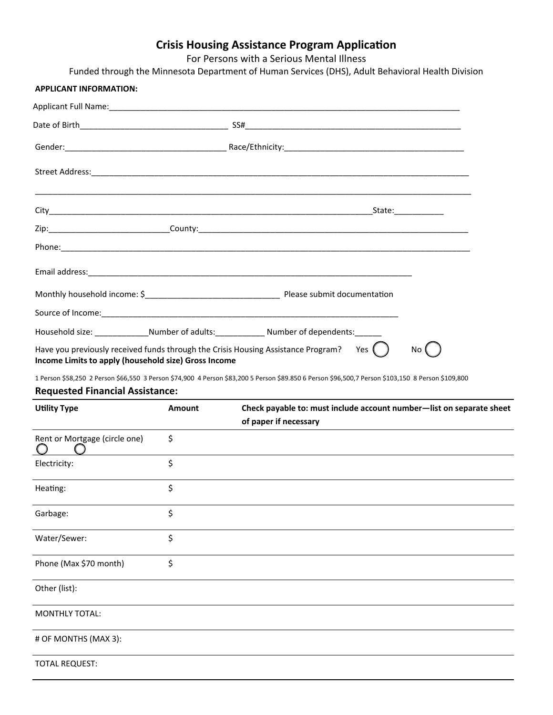## **Crisis Housing Assistance Program Application**

For Persons with a Serious Mental Illness

Funded through the Minnesota Department of Human Services (DHS), Adult Behavioral Health Division

# **APPLICANT INFORMATION:** Applicant Full Name: Date of Birth\_\_\_\_\_\_\_\_\_\_\_\_\_\_\_\_\_\_\_\_\_\_\_\_\_\_\_\_\_\_\_\_\_ SS#\_\_\_\_\_\_\_\_\_\_\_\_\_\_\_\_\_\_\_\_\_\_\_\_\_\_\_\_\_\_\_\_\_\_\_\_\_\_\_\_\_\_\_\_\_\_\_\_ Street Address:\_\_\_\_\_\_\_\_\_\_\_\_\_\_\_\_\_\_\_\_\_\_\_\_\_\_\_\_\_\_\_\_\_\_\_\_\_\_\_\_\_\_\_\_\_\_\_\_\_\_\_\_\_\_\_\_\_\_\_\_\_\_\_\_\_\_\_\_\_\_\_\_\_\_\_\_\_\_\_\_\_\_\_\_ \_\_\_\_\_\_\_\_\_\_\_\_\_\_\_\_\_\_\_\_\_\_\_\_\_\_\_\_\_\_\_\_\_\_\_\_\_\_\_\_\_\_\_\_\_\_\_\_\_\_\_\_\_\_\_\_\_\_\_\_\_\_\_\_\_\_\_\_\_\_\_\_\_\_\_\_\_\_\_\_\_\_\_\_\_\_\_\_\_\_\_\_\_\_\_\_\_ City\_\_\_\_\_\_\_\_\_\_\_\_\_\_\_\_\_\_\_\_\_\_\_\_\_\_\_\_\_\_\_\_\_\_\_\_\_\_\_\_\_\_\_\_\_\_\_\_\_\_\_\_\_\_\_\_\_\_\_\_\_\_\_\_\_\_\_\_\_\_\_\_State:\_\_\_\_\_\_\_\_\_\_\_ Zip:\_\_\_\_\_\_\_\_\_\_\_\_\_\_\_\_\_\_\_\_\_\_\_\_\_\_\_County:\_\_\_\_\_\_\_\_\_\_\_\_\_\_\_\_\_\_\_\_\_\_\_\_\_\_\_\_\_\_\_\_\_\_\_\_\_\_\_\_\_\_\_\_\_\_\_\_\_\_\_\_\_\_\_\_\_\_\_\_ Phone: where  $\overline{\phantom{a}}$ Email address:\_\_\_\_\_\_\_\_\_\_\_\_\_\_\_\_\_\_\_\_\_\_\_\_\_\_\_\_\_\_\_\_\_\_\_\_\_\_\_\_\_\_\_\_\_\_\_\_\_\_\_\_\_\_\_\_\_\_\_\_\_\_\_\_\_\_\_\_\_\_\_\_ Monthly household income: \$\_\_\_\_\_\_\_\_\_\_\_\_\_\_\_\_\_\_\_\_\_\_\_\_\_\_\_\_\_\_ Please submit documentation Source of Income:\_\_\_\_\_\_\_\_\_\_\_\_\_\_\_\_\_\_\_\_\_\_\_\_\_\_\_\_\_\_\_\_\_\_\_\_\_\_\_\_\_\_\_\_\_\_\_\_\_\_\_\_\_\_\_\_\_\_\_\_\_\_\_\_\_\_ Household size: etc. All allegers of adults: the sumber of dependents: Have you previously received funds through the Crisis Housing Assistance Program? Yes  $\Box$  No **Income Limits to apply (household size) Gross Income**  Gender:\_\_\_\_\_\_\_\_\_\_\_\_\_\_\_\_\_\_\_\_\_\_\_\_\_\_\_\_\_\_\_\_\_\_\_\_ Race/Ethnicity:\_\_\_\_\_\_\_\_\_\_\_\_\_\_\_\_\_\_\_\_\_\_\_\_\_\_\_\_\_\_\_\_\_\_\_\_\_\_\_\_

1 Person \$58,250 2 Person \$66,550 3 Person \$74,900 4 Person \$83,200 5 Person \$89.850 6 Person \$96,500,7 Person \$103,150 8 Person \$109,800

#### **Requested Financial Assistance:**

| <b>Utility Type</b>           | Amount | Check payable to: must include account number-list on separate sheet<br>of paper if necessary |
|-------------------------------|--------|-----------------------------------------------------------------------------------------------|
| Rent or Mortgage (circle one) | \$     |                                                                                               |
| Electricity:                  | \$     |                                                                                               |
| Heating:                      | \$     |                                                                                               |
| Garbage:                      | \$     |                                                                                               |
| Water/Sewer:                  | \$     |                                                                                               |
| Phone (Max \$70 month)        | \$     |                                                                                               |
| Other (list):                 |        |                                                                                               |
| <b>MONTHLY TOTAL:</b>         |        |                                                                                               |
| # OF MONTHS (MAX 3):          |        |                                                                                               |
| <b>TOTAL REQUEST:</b>         |        |                                                                                               |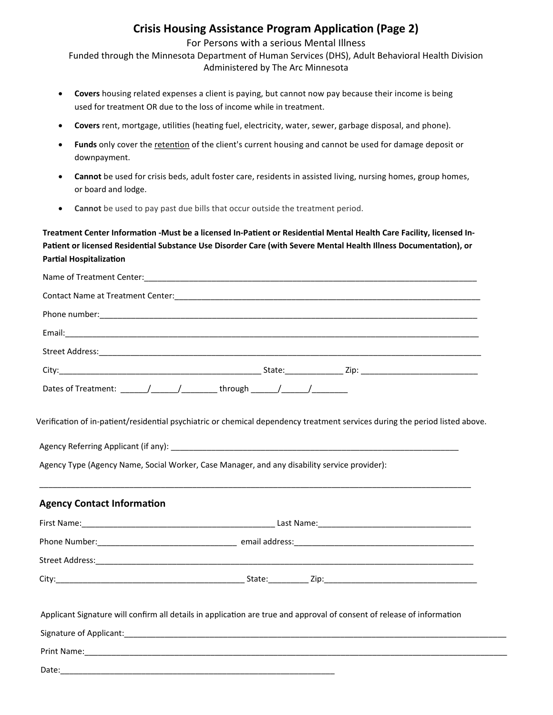## **Crisis Housing Assistance Program Application (Page 2)**

For Persons with a serious Mental Illness

Funded through the Minnesota Department of Human Services (DHS), Adult Behavioral Health Division Administered by The Arc Minnesota

- **Covers** housing related expenses a client is paying, but cannot now pay because their income is being used for treatment OR due to the loss of income while in treatment.
- **Covers** rent, mortgage, utilities (heating fuel, electricity, water, sewer, garbage disposal, and phone).
- Funds only cover the retention of the client's current housing and cannot be used for damage deposit or downpayment.
- **Cannot** be used for crisis beds, adult foster care, residents in assisted living, nursing homes, group homes, or board and lodge.
- **Cannot** be used to pay past due bills that occur outside the treatment period.

**Treatment Center Information -Must be a licensed In-Patient or Residential Mental Health Care Facility, licensed In-Patient or licensed Residential Substance Use Disorder Care (with Severe Mental Health Illness Documentation), or Partial Hospitalization**

| Contact Name at Treatment Center:<br><u> Contact Name at Treatment Center</u> |                                     |
|-------------------------------------------------------------------------------|-------------------------------------|
|                                                                               |                                     |
|                                                                               |                                     |
|                                                                               |                                     |
|                                                                               |                                     |
|                                                                               | through ________/________/_________ |

Verification of in-patient/residential psychiatric or chemical dependency treatment services during the period listed above.

Agency Referring Applicant (if any): \_\_\_\_\_\_\_\_\_\_\_\_\_\_\_\_\_\_\_\_\_\_\_\_\_\_\_\_\_\_\_\_\_\_\_\_\_\_\_\_\_\_\_\_\_\_\_\_\_\_\_\_\_\_\_\_\_\_\_\_\_\_\_\_

Agency Type (Agency Name, Social Worker, Case Manager, and any disability service provider):

## **Agency Contact Information**

| First Name:     | Last Name:     |
|-----------------|----------------|
| Phone Number:   | email address: |
|                 |                |
| Street Address: |                |
| City:           | State:         |
|                 | Zip:           |

\_\_\_\_\_\_\_\_\_\_\_\_\_\_\_\_\_\_\_\_\_\_\_\_\_\_\_\_\_\_\_\_\_\_\_\_\_\_\_\_\_\_\_\_\_\_\_\_\_\_\_\_\_\_\_\_\_\_\_\_\_\_\_\_\_\_\_\_\_\_\_\_\_\_\_\_\_\_\_\_\_\_\_\_\_\_\_\_\_\_\_\_\_\_\_\_

Applicant Signature will confirm all details in application are true and approval of consent of release of information

Signature of Applicant:  $\Box$ 

Print Name: when the set of the set of the set of the set of the set of the set of the set of the set of the set of the set of the set of the set of the set of the set of the set of the set of the set of the set of the set

Date: